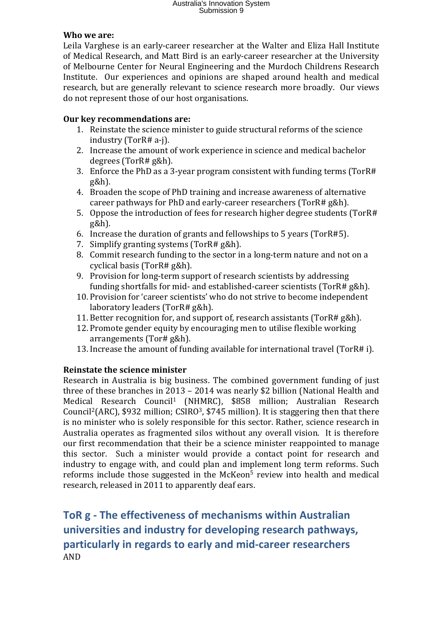#### **Who we are:**

Leila Varghese is an early-career researcher at the Walter and Eliza Hall Institute of Medical Research, and Matt Bird is an early-career researcher at the University of Melbourne Center for Neural Engineering and the Murdoch Childrens Research Institute. Our experiences and opinions are shaped around health and medical research, but are generally relevant to science research more broadly. Our views do not represent those of our host organisations.

### **Our key recommendations are:**

- 1. Reinstate the science minister to guide structural reforms of the science industry (TorR# a-j).
- 2. Increase the amount of work experience in science and medical bachelor degrees (TorR# g&h).
- 3. Enforce the PhD as a 3-year program consistent with funding terms (TorR# g&h).
- 4. Broaden the scope of PhD training and increase awareness of alternative career pathways for PhD and early-career researchers (TorR# g&h).
- 5. Oppose the introduction of fees for research higher degree students (TorR# g&h).
- 6. Increase the duration of grants and fellowships to 5 years (TorR#5).
- 7. Simplify granting systems (TorR# g&h).
- 8. Commit research funding to the sector in a long-term nature and not on a cyclical basis (TorR# g&h).
- 9. Provision for long-term support of research scientists by addressing funding shortfalls for mid- and established-career scientists (TorR# g&h).
- 10. Provision for 'career scientists' who do not strive to become independent laboratory leaders (TorR# g&h).
- 11. Better recognition for, and support of, research assistants (TorR# g&h).
- 12. Promote gender equity by encouraging men to utilise flexible working arrangements (Tor# g&h).
- 13. Increase the amount of funding available for international travel (TorR# i).

## **Reinstate the science minister**

Research in Australia is big business. The combined government funding of just three of these branches in 2013 – 2014 was nearly \$2 billion (National Health and Medical Research Council<sup>1</sup> (NHMRC), \$858 million; Australian Research Council<sup>2</sup>(ARC), \$932 million; CSIRO<sup>3</sup>, \$745 million). It is staggering then that there is no minister who is solely responsible for this sector. Rather, science research in Australia operates as fragmented silos without any overall vision. It is therefore our first recommendation that their be a science minister reappointed to manage this sector. Such a minister would provide a contact point for research and industry to engage with, and could plan and implement long term reforms. Such reforms include those suggested in the McKeon<sup>5</sup> review into health and medical research, released in 2011 to apparently deaf ears.

# **ToR g - The effectiveness of mechanisms within Australian universities and industry for developing research pathways, particularly in regards to early and mid-career researchers** AND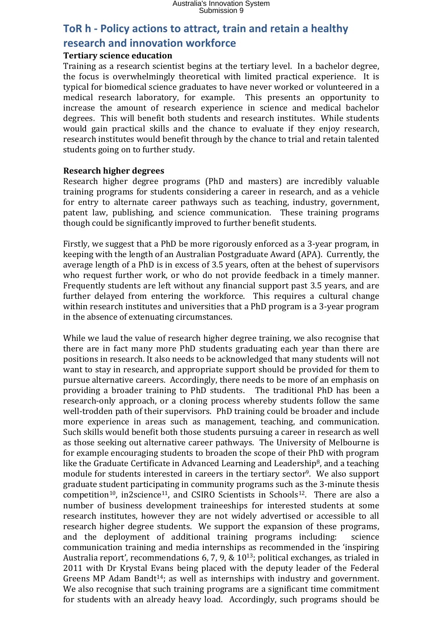# **ToR h - Policy actions to attract, train and retain a healthy research and innovation workforce**

### **Tertiary science education**

Training as a research scientist begins at the tertiary level. In a bachelor degree, the focus is overwhelmingly theoretical with limited practical experience. It is typical for biomedical science graduates to have never worked or volunteered in a medical research laboratory, for example. This presents an opportunity to increase the amount of research experience in science and medical bachelor degrees. This will benefit both students and research institutes. While students would gain practical skills and the chance to evaluate if they enjoy research, research institutes would benefit through by the chance to trial and retain talented students going on to further study.

#### **Research higher degrees**

Research higher degree programs (PhD and masters) are incredibly valuable training programs for students considering a career in research, and as a vehicle for entry to alternate career pathways such as teaching, industry, government, patent law, publishing, and science communication. These training programs though could be significantly improved to further benefit students.

Firstly, we suggest that a PhD be more rigorously enforced as a 3-year program, in keeping with the length of an Australian Postgraduate Award (APA). Currently, the average length of a PhD is in excess of 3.5 years, often at the behest of supervisors who request further work, or who do not provide feedback in a timely manner. Frequently students are left without any financial support past 3.5 years, and are further delayed from entering the workforce. This requires a cultural change within research institutes and universities that a PhD program is a 3-year program in the absence of extenuating circumstances.

While we laud the value of research higher degree training, we also recognise that there are in fact many more PhD students graduating each year than there are positions in research. It also needs to be acknowledged that many students will not want to stay in research, and appropriate support should be provided for them to pursue alternative careers. Accordingly, there needs to be more of an emphasis on providing a broader training to PhD students. The traditional PhD has been a research-only approach, or a cloning process whereby students follow the same well-trodden path of their supervisors. PhD training could be broader and include more experience in areas such as management, teaching, and communication. Such skills would benefit both those students pursuing a career in research as well as those seeking out alternative career pathways. The University of Melbourne is for example encouraging students to broaden the scope of their PhD with program like the Graduate Certificate in Advanced Learning and Leadership<sup>8</sup>, and a teaching module for students interested in careers in the tertiary sector<sup>9</sup>. We also support graduate student participating in community programs such as the 3-minute thesis  $competition<sup>10</sup>$ , in2science<sup>11</sup>, and CSIRO Scientists in Schools<sup>12</sup>. There are also a number of business development traineeships for interested students at some research institutes, however they are not widely advertised or accessible to all research higher degree students. We support the expansion of these programs, and the deployment of additional training programs including: science communication training and media internships as recommended in the 'inspiring Australia report', recommendations 6, 7, 9, & 10<sup>13</sup>; political exchanges, as trialed in 2011 with Dr Krystal Evans being placed with the deputy leader of the Federal Greens MP Adam Bandt<sup>14</sup>; as well as internships with industry and government. We also recognise that such training programs are a significant time commitment for students with an already heavy load. Accordingly, such programs should be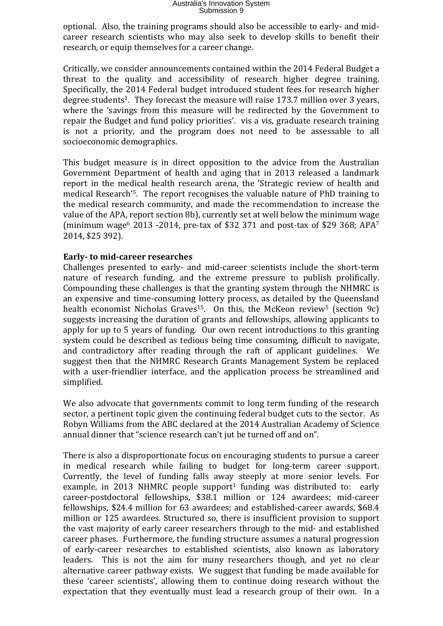optional. Also, the training programs should also be accessible to early- and midcareer research scientists who may also seek to develop skills to benefit their research, or equip themselves for a career change.

Critically, we consider announcements contained within the 2014 Federal Budget a threat to the quality and accessibility of research higher degree training. Specifically, the 2014 Federal budget introduced student fees for research higher degree students<sup>1</sup>. They forecast the measure will raise 173.7 million over 3 years, where the 'savings from this measure will be redirected by the Government to repair the Budget and fund policy priorities'. vis a vis, graduate research training is not a priority, and the program does not need to be assessable to all socioeconomic demographics.

This budget measure is in direct opposition to the advice from the Australian Government Department of health and aging that in 2013 released a landmark report in the medical health research arena, the 'Strategic review of health and medical Research'<sup>5</sup> . The report recognises the valuable nature of PhD training to the medical research community, and made the recommendation to increase the value of the APA, report section 8b), currently set at well below the minimum wage (minimum wage<sup>6</sup> 2013 -2014, pre-tax of \$32 371 and post-tax of \$29 368; APA<sup>7</sup> 2014, \$25 392).

### **Early- to mid-career researches**

Challenges presented to early- and mid-career scientists include the short-term nature of research funding, and the extreme pressure to publish prolifically. Compounding these challenges is that the granting system through the NHMRC is an expensive and time-consuming lottery process, as detailed by the Queensland health economist Nicholas Graves<sup>15</sup>. On this, the McKeon review<sup>5</sup> (section 9c) suggests increasing the duration of grants and fellowships, allowing applicants to apply for up to 5 years of funding. Our own recent introductions to this granting system could be described as tedious being time consuming, difficult to navigate, and contradictory after reading through the raft of applicant guidelines. We suggest then that the NHMRC Research Grants Management System be replaced with a user-friendlier interface, and the application process be streamlined and simplified.

We also advocate that governments commit to long term funding of the research sector, a pertinent topic given the continuing federal budget cuts to the sector. As Robyn Williams from the ABC declared at the 2014 Australian Academy of Science annual dinner that "science research can't jut be turned off and on".

There is also a disproportionate focus on encouraging students to pursue a career in medical research while failing to budget for long-term career support. Currently, the level of funding falls away steeply at more senior levels. For example, in 2013 NHMRC people support<sup>1</sup> funding was distributed to: early career-postdoctoral fellowships, \$38.1 million or 124 awardees; mid-career fellowships, \$24.4 million for 63 awardees; and established-career awards, \$68.4 million or 125 awardees. Structured so, there is insufficient provision to support the vast majority of early career researchers through to the mid- and established career phases. Furthermore, the funding structure assumes a natural progression of early-career researches to established scientists, also known as laboratory leaders. This is not the aim for many researchers though, and yet no clear alternative career pathway exists. We suggest that funding be made available for these 'career scientists', allowing them to continue doing research without the expectation that they eventually must lead a research group of their own. In a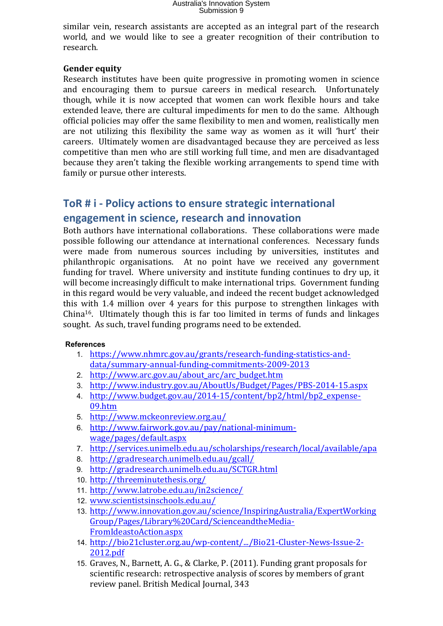similar vein, research assistants are accepted as an integral part of the research world, and we would like to see a greater recognition of their contribution to research.

### **Gender equity**

Research institutes have been quite progressive in promoting women in science and encouraging them to pursue careers in medical research. Unfortunately though, while it is now accepted that women can work flexible hours and take extended leave, there are cultural impediments for men to do the same. Although official policies may offer the same flexibility to men and women, realistically men are not utilizing this flexibility the same way as women as it will 'hurt' their careers. Ultimately women are disadvantaged because they are perceived as less competitive than men who are still working full time, and men are disadvantaged because they aren't taking the flexible working arrangements to spend time with family or pursue other interests.

## **ToR # i - Policy actions to ensure strategic international engagement in science, research and innovation**

Both authors have international collaborations. These collaborations were made possible following our attendance at international conferences. Necessary funds were made from numerous sources including by universities, institutes and philanthropic organisations. At no point have we received any government funding for travel. Where university and institute funding continues to dry up, it will become increasingly difficult to make international trips. Government funding in this regard would be very valuable, and indeed the recent budget acknowledged this with 1.4 million over 4 years for this purpose to strengthen linkages with China<sup>16</sup>. Ultimately though this is far too limited in terms of funds and linkages sought. As such, travel funding programs need to be extended.

### **References**

- 1. [https://www.nhmrc.gov.au/grants/research-funding-statistics-and](https://www.nhmrc.gov.au/grants/research-funding-statistics-and-data/summary-annual-funding-commitments-2009-2013)[data/summary-annual-funding-commitments-2009-2013](https://www.nhmrc.gov.au/grants/research-funding-statistics-and-data/summary-annual-funding-commitments-2009-2013)
- 2. [http://www.arc.gov.au/about\\_arc/arc\\_budget.htm](http://www.arc.gov.au/about_arc/arc_budget.htm)
- 3. <http://www.industry.gov.au/AboutUs/Budget/Pages/PBS-2014-15.aspx>
- 4. [http://www.budget.gov.au/2014-15/content/bp2/html/bp2\\_expense-](http://www.budget.gov.au/2014-15/content/bp2/html/bp2_expense-09.htm)[09.htm](http://www.budget.gov.au/2014-15/content/bp2/html/bp2_expense-09.htm)
- 5. <http://www.mckeonreview.org.au/>
- 6. [http://www.fairwork.gov.au/pay/national-minimum](http://www.fairwork.gov.au/pay/national-minimum-wage/pages/default.aspx)[wage/pages/default.aspx](http://www.fairwork.gov.au/pay/national-minimum-wage/pages/default.aspx)
- 7. <http://services.unimelb.edu.au/scholarships/research/local/available/apa>
- 8. <http://gradresearch.unimelb.edu.au/gcall/>
- 9. <http://gradresearch.unimelb.edu.au/SCTGR.html>
- 10. <http://threeminutethesis.org/>
- 11. <http://www.latrobe.edu.au/in2science/>
- 12. [www.scientistsinschools.edu.au/](http://www.scientistsinschools.edu.au/)
- 13. [http://www.innovation.gov.au/science/InspiringAustralia/ExpertWorking](http://www.innovation.gov.au/science/InspiringAustralia/ExpertWorkingGroup/Pages/Library%20Card/ScienceandtheMedia-FromIdeastoAction.aspx) [Group/Pages/Library%20Card/ScienceandtheMedia-](http://www.innovation.gov.au/science/InspiringAustralia/ExpertWorkingGroup/Pages/Library%20Card/ScienceandtheMedia-FromIdeastoAction.aspx)[FromIdeastoAction.aspx](http://www.innovation.gov.au/science/InspiringAustralia/ExpertWorkingGroup/Pages/Library%20Card/ScienceandtheMedia-FromIdeastoAction.aspx)
- 14. [http://bio21cluster.org.au/wp-content/.../Bio21-Cluster-News-Issue-2-](http://bio21cluster.org.au/wp-content/Bio21-Cluster-News-Issue-2-2012.pdf) [2012.pdf](http://bio21cluster.org.au/wp-content/Bio21-Cluster-News-Issue-2-2012.pdf)
- 15. Graves, N., Barnett, A. G., & Clarke, P. (2011). Funding grant proposals for scientific research: retrospective analysis of scores by members of grant review panel. British Medical Journal, 343